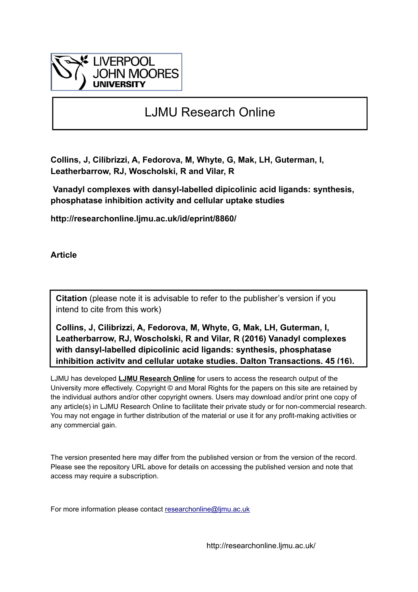

## LJMU Research Online

**Collins, J, Cilibrizzi, A, Fedorova, M, Whyte, G, Mak, LH, Guterman, I, Leatherbarrow, RJ, Woscholski, R and Vilar, R**

 **Vanadyl complexes with dansyl-labelled dipicolinic acid ligands: synthesis, phosphatase inhibition activity and cellular uptake studies**

**http://researchonline.ljmu.ac.uk/id/eprint/8860/**

**Article**

**Citation** (please note it is advisable to refer to the publisher's version if you intend to cite from this work)

**Collins, J, Cilibrizzi, A, Fedorova, M, Whyte, G, Mak, LH, Guterman, I, Leatherbarrow, RJ, Woscholski, R and Vilar, R (2016) Vanadyl complexes with dansyl-labelled dipicolinic acid ligands: synthesis, phosphatase inhibition activity and cellular uptake studies. Dalton Transactions, 45 (16).** 

LJMU has developed **[LJMU Research Online](http://researchonline.ljmu.ac.uk/)** for users to access the research output of the University more effectively. Copyright © and Moral Rights for the papers on this site are retained by the individual authors and/or other copyright owners. Users may download and/or print one copy of any article(s) in LJMU Research Online to facilitate their private study or for non-commercial research. You may not engage in further distribution of the material or use it for any profit-making activities or any commercial gain.

The version presented here may differ from the published version or from the version of the record. Please see the repository URL above for details on accessing the published version and note that access may require a subscription.

For more information please contact researchonline@limu.ac.uk

http://researchonline.ljmu.ac.uk/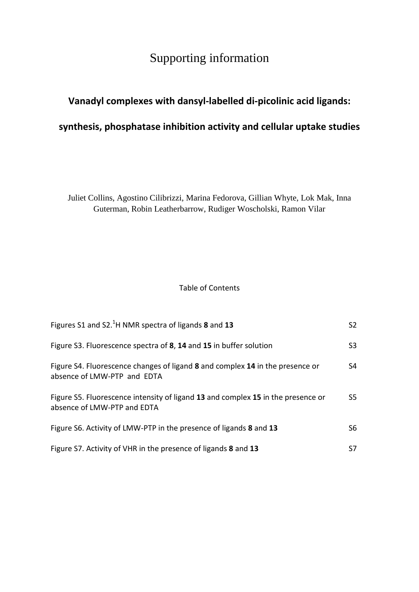## Supporting information

## **Vanadyl complexes with dansyl-labelled di-picolinic acid ligands: synthesis, phosphatase inhibition activity and cellular uptake studies**

Juliet Collins, Agostino Cilibrizzi, Marina Fedorova, Gillian Whyte, Lok Mak, Inna Guterman, Robin Leatherbarrow, Rudiger Woscholski, Ramon Vilar

## Table of Contents

| Figures S1 and S2. <sup>1</sup> H NMR spectra of ligands 8 and 13                                               | S <sub>2</sub> |
|-----------------------------------------------------------------------------------------------------------------|----------------|
| Figure S3. Fluorescence spectra of 8, 14 and 15 in buffer solution                                              | S <sub>3</sub> |
| Figure S4. Fluorescence changes of ligand 8 and complex 14 in the presence or<br>absence of LMW-PTP and EDTA    | S4             |
| Figure S5. Fluorescence intensity of ligand 13 and complex 15 in the presence or<br>absence of LMW-PTP and EDTA | S5             |
| Figure S6. Activity of LMW-PTP in the presence of ligands 8 and 13                                              | S6             |
| Figure S7. Activity of VHR in the presence of ligands 8 and 13                                                  | S7             |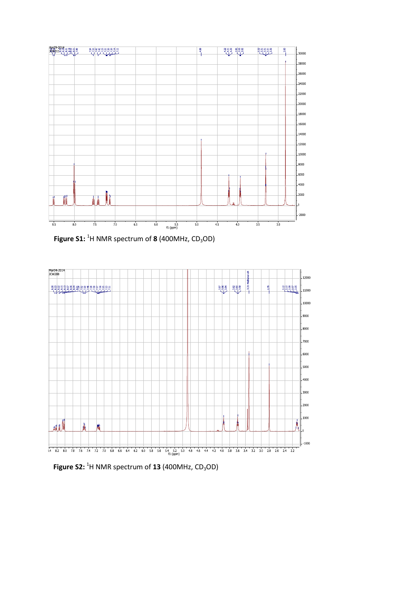

Figure S1: <sup>1</sup>H NMR spectrum of **8** (400MHz, CD<sub>3</sub>OD)



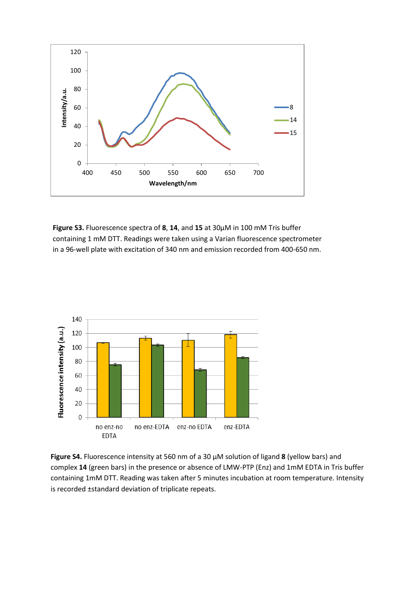

**Figure S3.** Fluorescence spectra of **8**, **14**, and **15** at 30µM in 100 mM Tris buffer containing 1 mM DTT. Readings were taken using a Varian fluorescence spectrometer in a 96-well plate with excitation of 340 nm and emission recorded from 400-650 nm.



**Figure S4.** Fluorescence intensity at 560 nm of a 30 µM solution of ligand **8** (yellow bars) and complex **14** (green bars) in the presence or absence of LMW-PTP (Enz) and 1mM EDTA in Tris buffer containing 1mM DTT. Reading was taken after 5 minutes incubation at room temperature. Intensity is recorded ±standard deviation of triplicate repeats.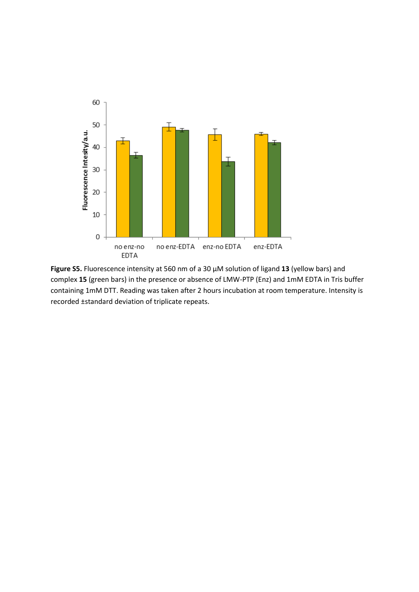

**Figure S5.** Fluorescence intensity at 560 nm of a 30 µM solution of ligand **13** (yellow bars) and complex **15** (green bars) in the presence or absence of LMW-PTP (Enz) and 1mM EDTA in Tris buffer containing 1mM DTT. Reading was taken after 2 hours incubation at room temperature. Intensity is recorded ±standard deviation of triplicate repeats.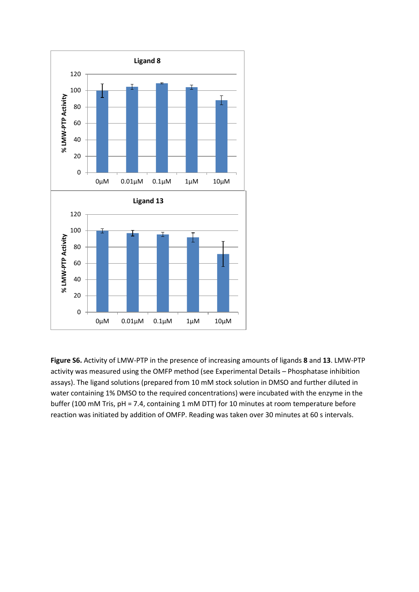

**Figure S6.** Activity of LMW-PTP in the presence of increasing amounts of ligands **8** and **13**. LMW-PTP activity was measured using the OMFP method (see Experimental Details – Phosphatase inhibition assays). The ligand solutions (prepared from 10 mM stock solution in DMSO and further diluted in water containing 1% DMSO to the required concentrations) were incubated with the enzyme in the buffer (100 mM Tris, pH = 7.4, containing 1 mM DTT) for 10 minutes at room temperature before reaction was initiated by addition of OMFP. Reading was taken over 30 minutes at 60 s intervals.